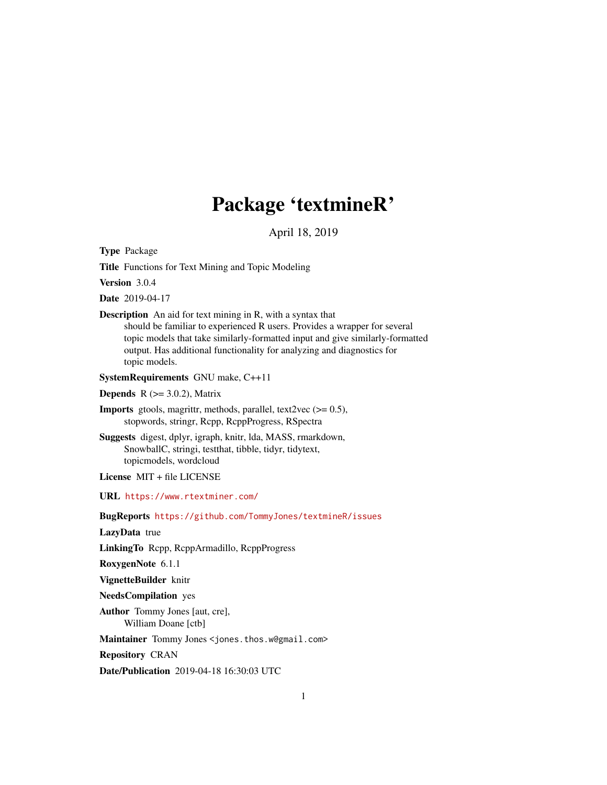# Package 'textmineR'

April 18, 2019

<span id="page-0-0"></span>Type Package

Title Functions for Text Mining and Topic Modeling

Version 3.0.4

Date 2019-04-17

Description An aid for text mining in R, with a syntax that should be familiar to experienced R users. Provides a wrapper for several topic models that take similarly-formatted input and give similarly-formatted output. Has additional functionality for analyzing and diagnostics for topic models.

SystemRequirements GNU make, C++11

**Depends** R  $(>= 3.0.2)$ , Matrix

**Imports** gtools, magrittr, methods, parallel, text2vec  $(>= 0.5)$ , stopwords, stringr, Rcpp, RcppProgress, RSpectra

Suggests digest, dplyr, igraph, knitr, lda, MASS, rmarkdown, SnowballC, stringi, testthat, tibble, tidyr, tidytext, topicmodels, wordcloud

License MIT + file LICENSE

URL <https://www.rtextminer.com/>

BugReports <https://github.com/TommyJones/textmineR/issues>

LazyData true

LinkingTo Rcpp, RcppArmadillo, RcppProgress

RoxygenNote 6.1.1

VignetteBuilder knitr

NeedsCompilation yes

Author Tommy Jones [aut, cre], William Doane [ctb]

Maintainer Tommy Jones <jones.thos.w@gmail.com>

Repository CRAN

Date/Publication 2019-04-18 16:30:03 UTC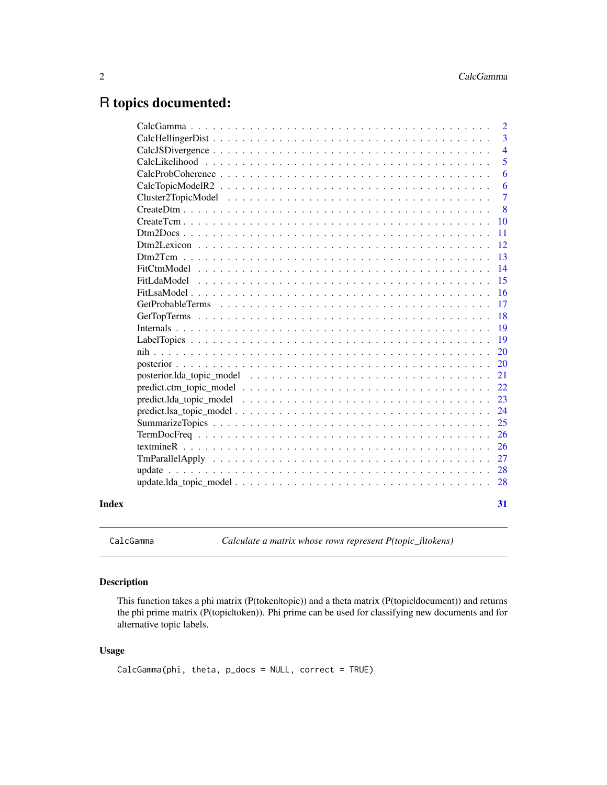# <span id="page-1-0"></span>R topics documented:

|       |    | $\overline{2}$ |
|-------|----|----------------|
|       |    | $\overline{3}$ |
|       |    | $\overline{4}$ |
|       |    | 5              |
|       |    | 6              |
|       |    | 6              |
|       |    | $\overline{7}$ |
|       |    | 8              |
|       | 10 |                |
|       | 11 |                |
|       | 12 |                |
|       | 13 |                |
|       | 14 |                |
|       | 15 |                |
|       | 16 |                |
|       | 17 |                |
|       | 18 |                |
|       | 19 |                |
|       | 19 |                |
|       | 20 |                |
|       | 20 |                |
|       | 21 |                |
|       | 22 |                |
|       | 23 |                |
|       | 24 |                |
|       | 25 |                |
|       | 26 |                |
|       | 26 |                |
|       | 27 |                |
|       | 28 |                |
|       | 28 |                |
|       |    |                |
| Index | 31 |                |
|       |    |                |

CalcGamma *Calculate a matrix whose rows represent P(topic\_i|tokens)*

#### Description

This function takes a phi matrix (P(token|topic)) and a theta matrix (P(topic|document)) and returns the phi prime matrix (P(topic|token)). Phi prime can be used for classifying new documents and for alternative topic labels.

#### Usage

CalcGamma(phi, theta, p\_docs = NULL, correct = TRUE)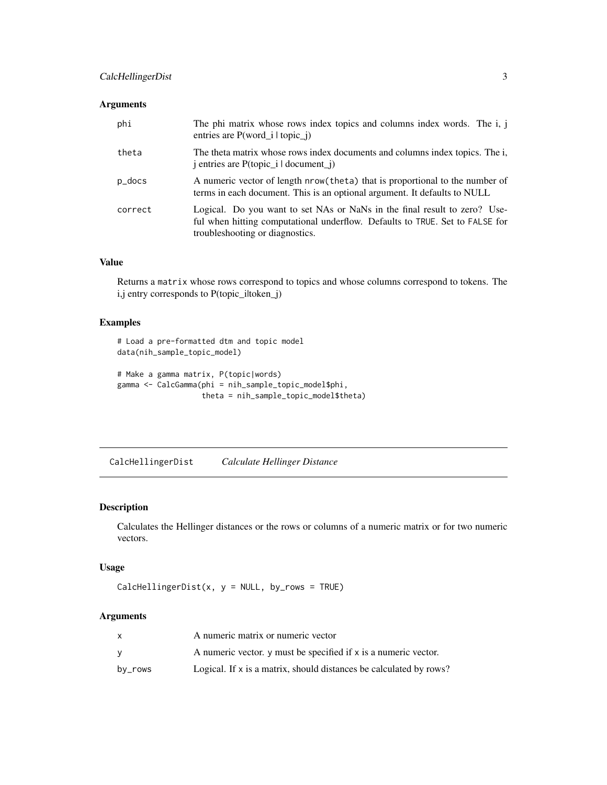#### <span id="page-2-0"></span>CalcHellingerDist 3

#### Arguments

| phi     | The phi matrix whose rows index topics and columns index words. The i, j<br>entries are $P(word_i   topic_i)$                                                                                |
|---------|----------------------------------------------------------------------------------------------------------------------------------------------------------------------------------------------|
| theta   | The theta matrix whose rows index documents and columns index topics. The i.<br>j entries are P(topic_i   document_j)                                                                        |
| p_docs  | A numeric vector of length nrow(theta) that is proportional to the number of<br>terms in each document. This is an optional argument. It defaults to NULL                                    |
| correct | Logical. Do you want to set NAs or NaNs in the final result to zero? Use-<br>ful when hitting computational underflow. Defaults to TRUE. Set to FALSE for<br>troubleshooting or diagnostics. |

### Value

Returns a matrix whose rows correspond to topics and whose columns correspond to tokens. The i,j entry corresponds to P(topic\_iltoken\_j)

#### Examples

```
# Load a pre-formatted dtm and topic model
data(nih_sample_topic_model)
# Make a gamma matrix, P(topic|words)
```

```
gamma <- CalcGamma(phi = nih_sample_topic_model$phi,
                  theta = nih_sample_topic_model$theta)
```
CalcHellingerDist *Calculate Hellinger Distance*

#### Description

Calculates the Hellinger distances or the rows or columns of a numeric matrix or for two numeric vectors.

#### Usage

```
CalchellingerDist(x, y = NULL, by_rows = TRUE)
```
#### Arguments

|         | A numeric matrix or numeric vector                                 |
|---------|--------------------------------------------------------------------|
|         | A numeric vector, y must be specified if x is a numeric vector.    |
| by_rows | Logical. If x is a matrix, should distances be calculated by rows? |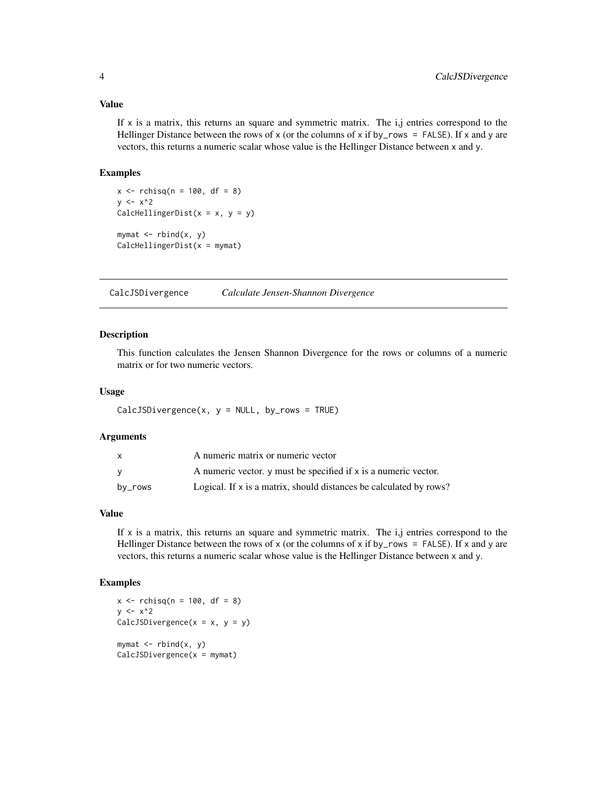#### <span id="page-3-0"></span>Value

If  $x$  is a matrix, this returns an square and symmetric matrix. The i,j entries correspond to the Hellinger Distance between the rows of x (or the columns of x if by\_rows = FALSE). If x and y are vectors, this returns a numeric scalar whose value is the Hellinger Distance between x and y.

#### Examples

```
x \le rchisq(n = 100, df = 8)
y \le -x^2CalcHellingerDist(x = x, y = y)
mymat <- rbind(x, y)
CalcHellingerDist(x = mymat)
```
CalcJSDivergence *Calculate Jensen-Shannon Divergence*

#### Description

This function calculates the Jensen Shannon Divergence for the rows or columns of a numeric matrix or for two numeric vectors.

#### Usage

```
CalcJSDivergence(x, y = NULL, by_rows = TRUE)
```
#### Arguments

| x       | A numeric matrix or numeric vector                                 |
|---------|--------------------------------------------------------------------|
| v       | A numeric vector, y must be specified if x is a numeric vector.    |
| by_rows | Logical. If x is a matrix, should distances be calculated by rows? |

#### Value

If  $x$  is a matrix, this returns an square and symmetric matrix. The  $i, j$  entries correspond to the Hellinger Distance between the rows of x (or the columns of x if by\_rows = FALSE). If x and y are vectors, this returns a numeric scalar whose value is the Hellinger Distance between x and y.

```
x \le rchisq(n = 100, df = 8)
y \le -x^2CalcJSDivergence(x = x, y = y)
mymat \leq rbind(x, y)
CalcJSDivergence(x = mymat)
```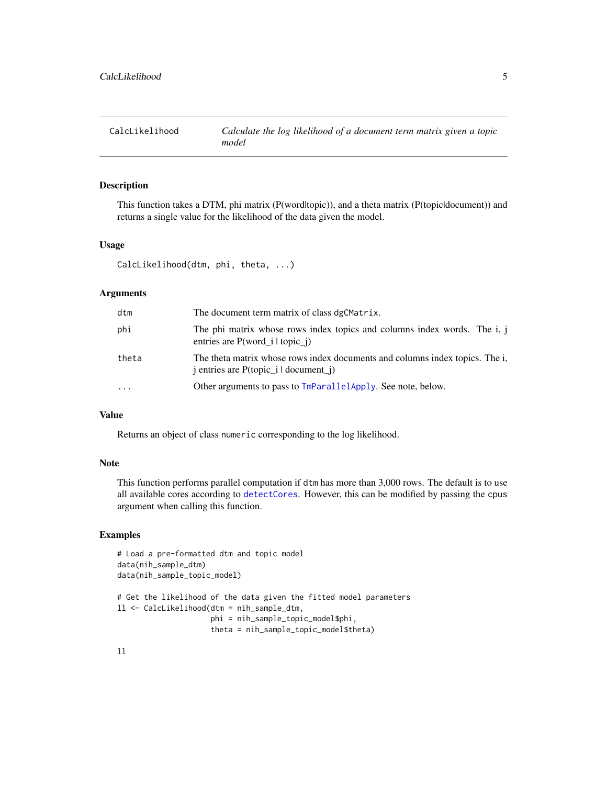<span id="page-4-0"></span>

This function takes a DTM, phi matrix (P(word|topic)), and a theta matrix (P(topic|document)) and returns a single value for the likelihood of the data given the model.

#### Usage

CalcLikelihood(dtm, phi, theta, ...)

#### Arguments

| dtm   | The document term matrix of class dgCMatrix.                                                                                                              |
|-------|-----------------------------------------------------------------------------------------------------------------------------------------------------------|
| phi   | The phi matrix whose rows index topics and columns index words. The i, j<br>entries are $P(word_i   topic_i)$                                             |
| theta | The theta matrix whose rows index documents and columns index topics. The i,<br>$\mathbf{j}$ entries are P(topic_ $\mathbf{i}$   document_ $\mathbf{j}$ ) |
| .     | Other arguments to pass to TmParallelApply. See note, below.                                                                                              |

### Value

Returns an object of class numeric corresponding to the log likelihood.

#### Note

This function performs parallel computation if dtm has more than 3,000 rows. The default is to use all available cores according to [detectCores](#page-0-0). However, this can be modified by passing the cpus argument when calling this function.

```
# Load a pre-formatted dtm and topic model
data(nih_sample_dtm)
data(nih_sample_topic_model)
# Get the likelihood of the data given the fitted model parameters
ll <- CalcLikelihood(dtm = nih_sample_dtm,
                     phi = nih_sample_topic_model$phi,
                     theta = nih_sample_topic_model$theta)
```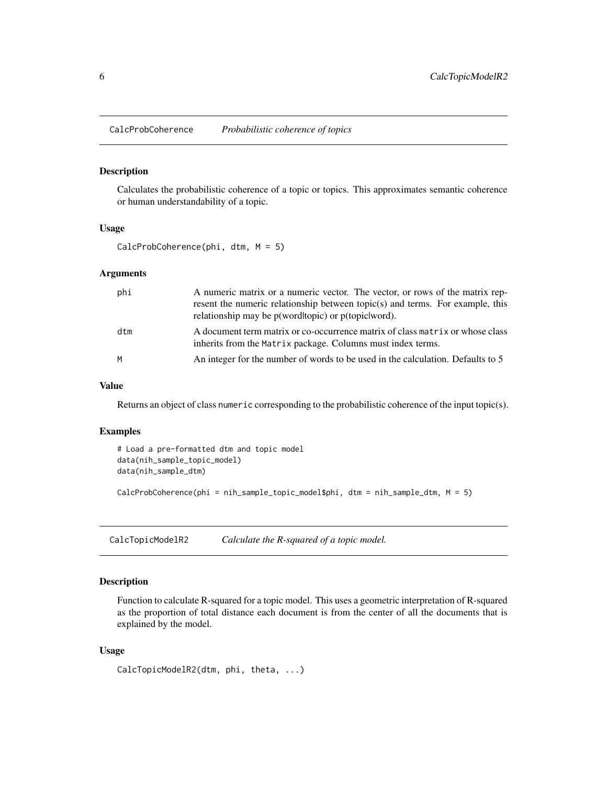<span id="page-5-1"></span><span id="page-5-0"></span>CalcProbCoherence *Probabilistic coherence of topics*

#### Description

Calculates the probabilistic coherence of a topic or topics. This approximates semantic coherence or human understandability of a topic.

#### Usage

CalcProbCoherence(phi, dtm, M = 5)

#### Arguments

| phi | A numeric matrix or a numeric vector. The vector, or rows of the matrix rep-    |
|-----|---------------------------------------------------------------------------------|
|     | resent the numeric relationship between topic(s) and terms. For example, this   |
|     | relationship may be p(word topic) or p(topic word).                             |
| dtm | A document term matrix or co-occurrence matrix of class matrix or whose class   |
|     | inherits from the Matrix package. Columns must index terms.                     |
| M   | An integer for the number of words to be used in the calculation. Defaults to 5 |

#### Value

Returns an object of class numeric corresponding to the probabilistic coherence of the input topic(s).

#### Examples

```
# Load a pre-formatted dtm and topic model
data(nih_sample_topic_model)
data(nih_sample_dtm)
CalcProbCoherence(phi = nih_sample_topic_model$phi, dtm = nih_sample_dtm, M = 5)
```
CalcTopicModelR2 *Calculate the R-squared of a topic model.*

#### Description

Function to calculate R-squared for a topic model. This uses a geometric interpretation of R-squared as the proportion of total distance each document is from the center of all the documents that is explained by the model.

#### Usage

```
CalcTopicModelR2(dtm, phi, theta, ...)
```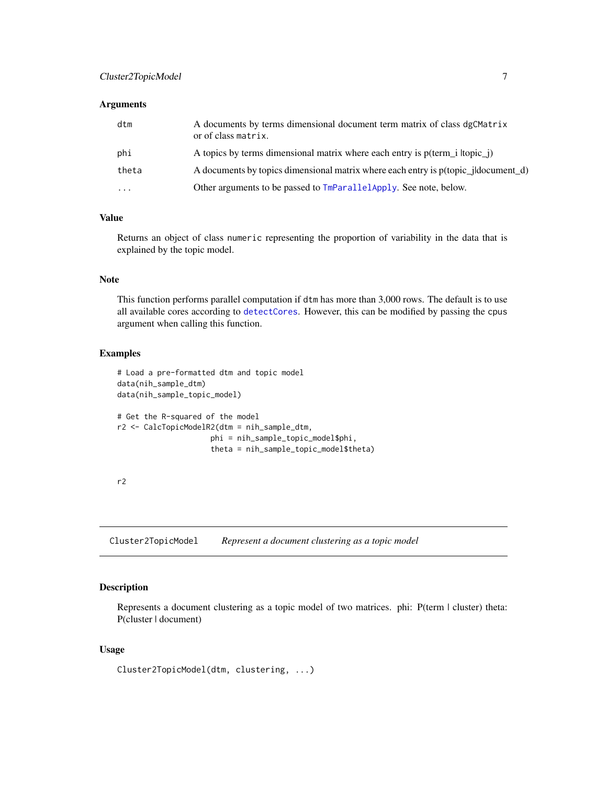#### <span id="page-6-0"></span>Arguments

| dtm       | A documents by terms dimensional document term matrix of class dgCMatrix<br>or of class matrix. |
|-----------|-------------------------------------------------------------------------------------------------|
| phi       | A topics by terms dimensional matrix where each entry is p(term i ltopic j)                     |
| theta     | A documents by topics dimensional matrix where each entry is p(topic_jldocument_d)              |
| $\ddotsc$ | Other arguments to be passed to TmParallelApply. See note, below.                               |

#### Value

Returns an object of class numeric representing the proportion of variability in the data that is explained by the topic model.

#### Note

This function performs parallel computation if dtm has more than 3,000 rows. The default is to use all available cores according to [detectCores](#page-0-0). However, this can be modified by passing the cpus argument when calling this function.

#### Examples

```
# Load a pre-formatted dtm and topic model
data(nih_sample_dtm)
data(nih_sample_topic_model)
# Get the R-squared of the model
r2 <- CalcTopicModelR2(dtm = nih_sample_dtm,
                     phi = nih_sample_topic_model$phi,
                     theta = nih_sample_topic_model$theta)
```
r2

Cluster2TopicModel *Represent a document clustering as a topic model*

#### Description

Represents a document clustering as a topic model of two matrices. phi: P(term | cluster) theta: P(cluster | document)

#### Usage

Cluster2TopicModel(dtm, clustering, ...)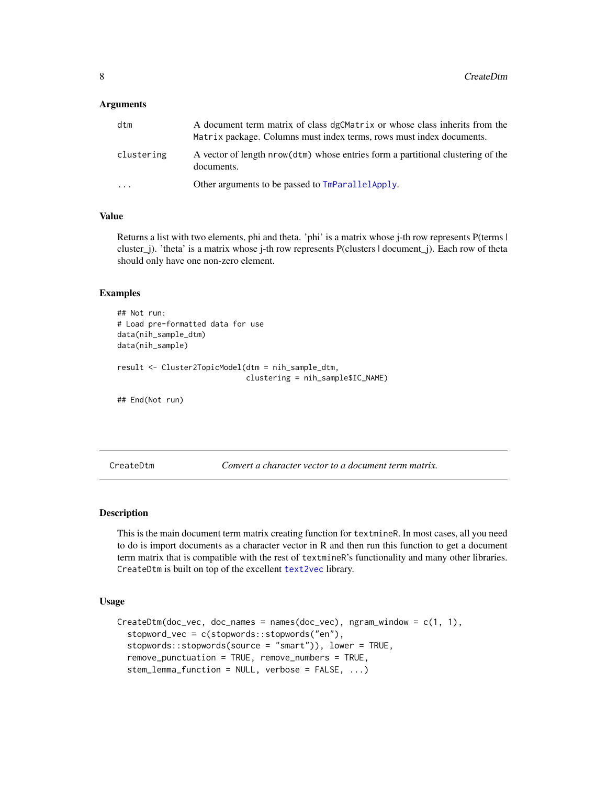#### <span id="page-7-0"></span>**Arguments**

| dtm        | A document term matrix of class dgCMatrix or whose class inherits from the<br>Matrix package. Columns must index terms, rows must index documents. |
|------------|----------------------------------------------------------------------------------------------------------------------------------------------------|
| clustering | A vector of length nrow(dtm) whose entries form a partitional clustering of the<br>documents.                                                      |
| $\cdot$    | Other arguments to be passed to TmParallelApply.                                                                                                   |

#### Value

Returns a list with two elements, phi and theta. 'phi' is a matrix whose j-th row represents P(terms | cluster\_j). 'theta' is a matrix whose j-th row represents P(clusters | document\_j). Each row of theta should only have one non-zero element.

#### Examples

```
## Not run:
# Load pre-formatted data for use
data(nih_sample_dtm)
data(nih_sample)
result <- Cluster2TopicModel(dtm = nih_sample_dtm,
                             clustering = nih_sample$IC_NAME)
## End(Not run)
```
CreateDtm *Convert a character vector to a document term matrix.*

#### Description

This is the main document term matrix creating function for textmineR. In most cases, all you need to do is import documents as a character vector in R and then run this function to get a document term matrix that is compatible with the rest of textmineR's functionality and many other libraries. CreateDtm is built on top of the excellent [text2vec](#page-0-0) library.

#### Usage

```
CreateDtm(doc\_vec, doc\_names = names(doc\_vec), ngram\_window = c(1, 1),stopword_vec = c(stopwords::stopwords("en"),
  stopwords::stopwords(source = "smart")), lower = TRUE,
  remove_punctuation = TRUE, remove_numbers = TRUE,
  stem_lemma_function = NULL, verbose = FALSE, ...)
```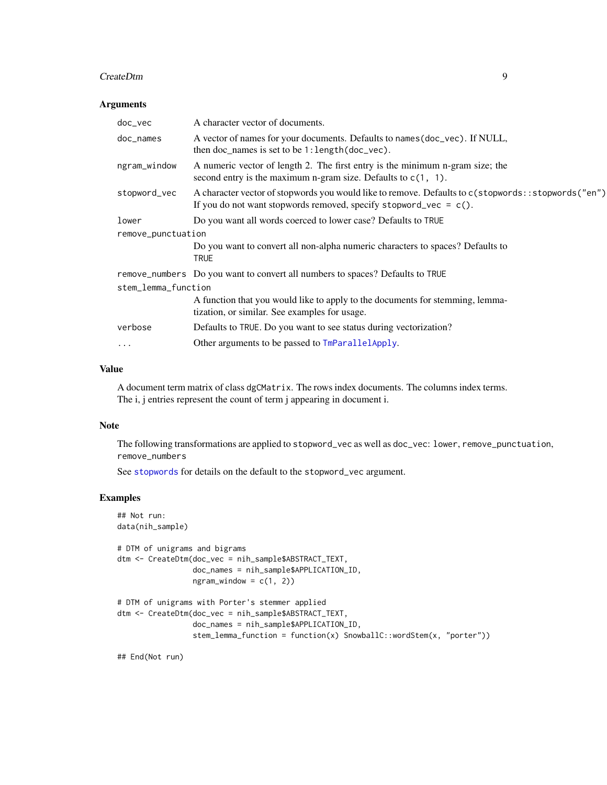#### <span id="page-8-0"></span>CreateDtm 9

#### Arguments

| doc_vec             | A character vector of documents.                                                                                                                                           |  |
|---------------------|----------------------------------------------------------------------------------------------------------------------------------------------------------------------------|--|
| doc_names           | A vector of names for your documents. Defaults to names (doc_vec). If NULL,<br>then doc_names is set to be 1: length(doc_vec).                                             |  |
| ngram_window        | A numeric vector of length 2. The first entry is the minimum n-gram size; the<br>second entry is the maximum n-gram size. Defaults to $c(1, 1)$ .                          |  |
| stopword_vec        | A character vector of stopwords you would like to remove. Defaults to c(stopwords::stopwords("en")<br>If you do not want stopwords removed, specify stopword_vec = $c()$ . |  |
| lower               | Do you want all words coerced to lower case? Defaults to TRUE                                                                                                              |  |
| remove_punctuation  |                                                                                                                                                                            |  |
|                     | Do you want to convert all non-alpha numeric characters to spaces? Defaults to<br>TRUE                                                                                     |  |
|                     | remove_numbers Do you want to convert all numbers to spaces? Defaults to TRUE                                                                                              |  |
| stem_lemma_function |                                                                                                                                                                            |  |
|                     | A function that you would like to apply to the documents for stemming, lemma-<br>tization, or similar. See examples for usage.                                             |  |
| verbose             | Defaults to TRUE. Do you want to see status during vectorization?                                                                                                          |  |
| $\cdots$            | Other arguments to be passed to TmParallelApply.                                                                                                                           |  |
|                     |                                                                                                                                                                            |  |

#### Value

A document term matrix of class dgCMatrix. The rows index documents. The columns index terms. The i, j entries represent the count of term j appearing in document i.

### Note

The following transformations are applied to stopword\_vec as well as doc\_vec: lower, remove\_punctuation, remove\_numbers

See [stopwords](#page-0-0) for details on the default to the stopword\_vec argument.

#### Examples

```
## Not run:
data(nih_sample)
# DTM of unigrams and bigrams
dtm <- CreateDtm(doc_vec = nih_sample$ABSTRACT_TEXT,
                 doc_names = nih_sample$APPLICATION_ID,
                 ngram\_window = c(1, 2)# DTM of unigrams with Porter's stemmer applied
dtm <- CreateDtm(doc_vec = nih_sample$ABSTRACT_TEXT,
                 doc_names = nih_sample$APPLICATION_ID,
                 stem_lemma_function = function(x) SnowballC::wordStem(x, "porter"))
```
## End(Not run)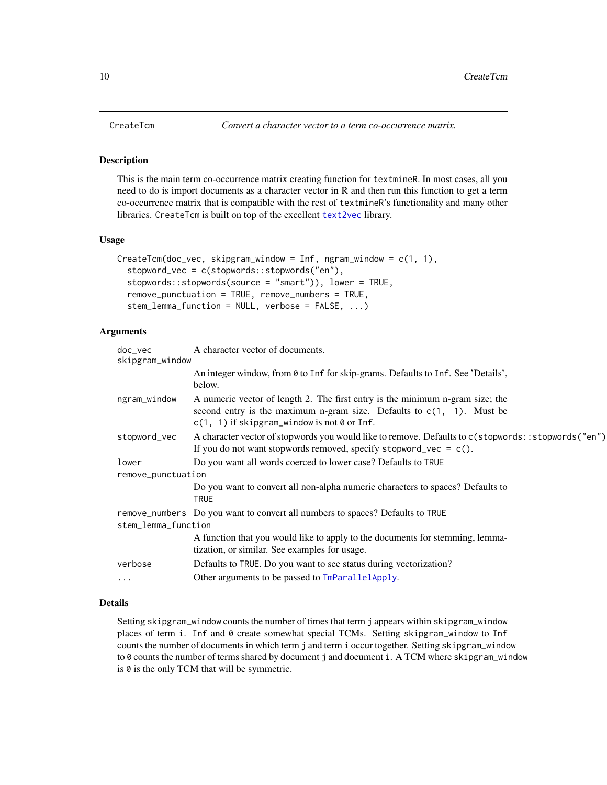<span id="page-9-0"></span>This is the main term co-occurrence matrix creating function for textmineR. In most cases, all you need to do is import documents as a character vector in R and then run this function to get a term co-occurrence matrix that is compatible with the rest of textmineR's functionality and many other libraries. CreateTcm is built on top of the excellent [text2vec](#page-0-0) library.

#### Usage

```
CreateTerm(doc\_vec, skipgram\_window = Inf, ngram\_window = c(1, 1),stopword_vec = c(stopwords::stopwords("en"),
  stopwords::stopwords(source = "smart")), lower = TRUE,
  remove_punctuation = TRUE, remove_numbers = TRUE,
  stem_lemma_function = NULL, verbose = FALSE, ...)
```
#### Arguments

| $doc\_vec$<br>skipgram_window | A character vector of documents.                                                                                                                                                                           |  |
|-------------------------------|------------------------------------------------------------------------------------------------------------------------------------------------------------------------------------------------------------|--|
|                               | An integer window, from 0 to Inf for skip-grams. Defaults to Inf. See 'Details',<br>below.                                                                                                                 |  |
| ngram_window                  | A numeric vector of length 2. The first entry is the minimum n-gram size; the<br>second entry is the maximum n-gram size. Defaults to $c(1, 1)$ . Must be<br>$c(1, 1)$ if skipgram_window is not 0 or Inf. |  |
| stopword_vec                  | A character vector of stopwords you would like to remove. Defaults to c(stopwords::stopwords("en")<br>If you do not want stopwords removed, specify stopword_vec = $c()$ .                                 |  |
| lower                         | Do you want all words coerced to lower case? Defaults to TRUE                                                                                                                                              |  |
| remove_punctuation            |                                                                                                                                                                                                            |  |
|                               | Do you want to convert all non-alpha numeric characters to spaces? Defaults to<br><b>TRUE</b>                                                                                                              |  |
|                               | remove_numbers Do you want to convert all numbers to spaces? Defaults to TRUE                                                                                                                              |  |
| stem_lemma_function           |                                                                                                                                                                                                            |  |
|                               | A function that you would like to apply to the documents for stemming, lemma-<br>tization, or similar. See examples for usage.                                                                             |  |
| verbose                       | Defaults to TRUE. Do you want to see status during vectorization?                                                                                                                                          |  |
| $\cdots$                      | Other arguments to be passed to TmParallelApply.                                                                                                                                                           |  |
|                               |                                                                                                                                                                                                            |  |

#### Details

Setting skipgram\_window counts the number of times that term j appears within skipgram\_window places of term i. Inf and 0 create somewhat special TCMs. Setting skipgram\_window to Inf counts the number of documents in which term j and term i occur together. Setting skipgram\_window to 0 counts the number of terms shared by document j and document i. A TCM where skipgram\_window is 0 is the only TCM that will be symmetric.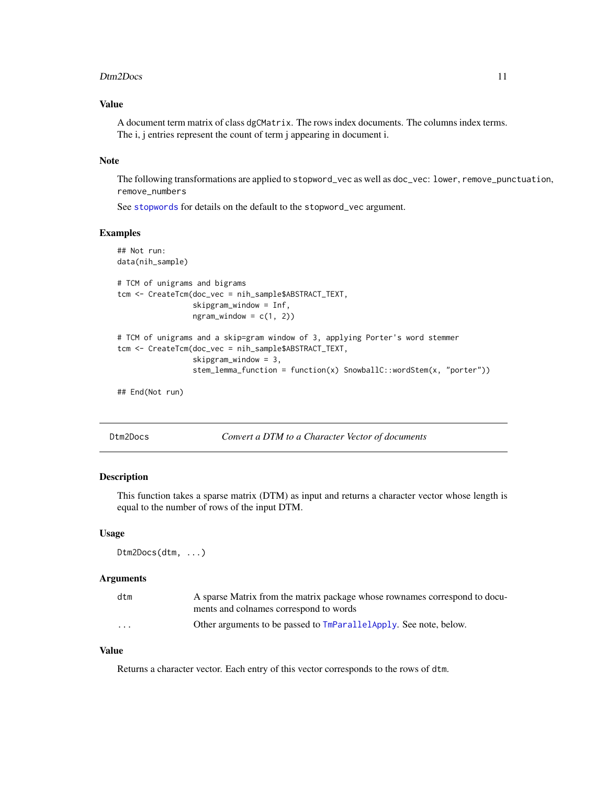#### <span id="page-10-0"></span>Dtm2Docs 11

#### Value

A document term matrix of class dgCMatrix. The rows index documents. The columns index terms. The i, j entries represent the count of term j appearing in document i.

#### **Note**

The following transformations are applied to stopword\_vec as well as doc\_vec: lower, remove\_punctuation, remove\_numbers

See [stopwords](#page-0-0) for details on the default to the stopword\_vec argument.

#### Examples

```
## Not run:
data(nih_sample)
# TCM of unigrams and bigrams
tcm <- CreateTcm(doc_vec = nih_sample$ABSTRACT_TEXT,
                 skipgram_window = Inf,
                 ngram\_window = c(1, 2)# TCM of unigrams and a skip=gram window of 3, applying Porter's word stemmer
tcm <- CreateTcm(doc_vec = nih_sample$ABSTRACT_TEXT,
                 skipgram_window = 3,
                 stem_lemma_function = function(x) SnowballC::wordStem(x, "porter"))
```
## End(Not run)

Dtm2Docs *Convert a DTM to a Character Vector of documents*

#### Description

This function takes a sparse matrix (DTM) as input and returns a character vector whose length is equal to the number of rows of the input DTM.

#### Usage

```
Dtm2Docs(dtm, ...)
```
#### Arguments

| dtm      | A sparse Matrix from the matrix package whose rownames correspond to docu- |
|----------|----------------------------------------------------------------------------|
|          | ments and colnames correspond to words                                     |
| $\cdots$ | Other arguments to be passed to TmParallelApply. See note, below.          |

#### Value

Returns a character vector. Each entry of this vector corresponds to the rows of dtm.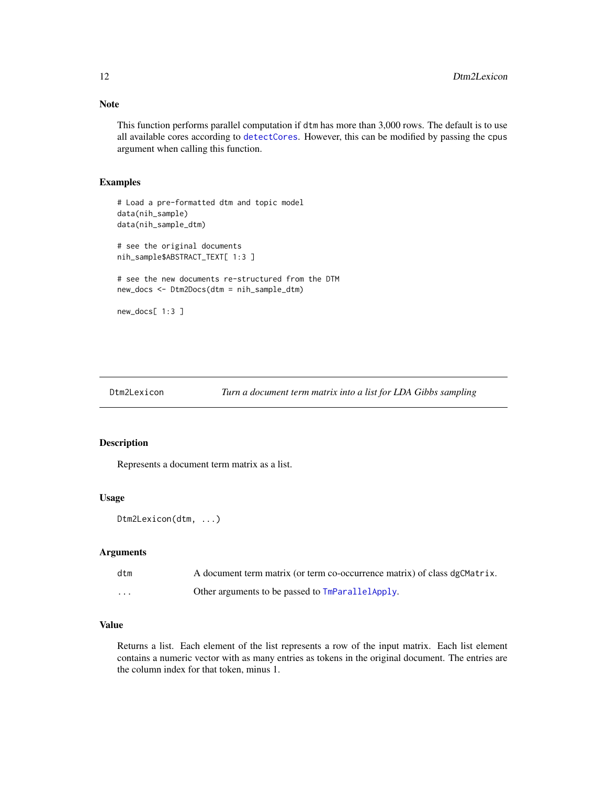This function performs parallel computation if dtm has more than 3,000 rows. The default is to use all available cores according to [detectCores](#page-0-0). However, this can be modified by passing the cpus

#### Examples

```
# Load a pre-formatted dtm and topic model
data(nih_sample)
data(nih_sample_dtm)
# see the original documents
nih_sample$ABSTRACT_TEXT[ 1:3 ]
# see the new documents re-structured from the DTM
new_docs <- Dtm2Docs(dtm = nih_sample_dtm)
new_docs[ 1:3 ]
```
argument when calling this function.

```
Dtm2Lexicon Turn a document term matrix into a list for LDA Gibbs sampling
```
#### Description

Represents a document term matrix as a list.

#### Usage

```
Dtm2Lexicon(dtm, ...)
```
#### Arguments

| dtm      | A document term matrix (or term co-occurrence matrix) of class dgCMatrix. |
|----------|---------------------------------------------------------------------------|
| $\cdots$ | Other arguments to be passed to TmParallelApply.                          |

#### Value

Returns a list. Each element of the list represents a row of the input matrix. Each list element contains a numeric vector with as many entries as tokens in the original document. The entries are the column index for that token, minus 1.

<span id="page-11-0"></span>

## Note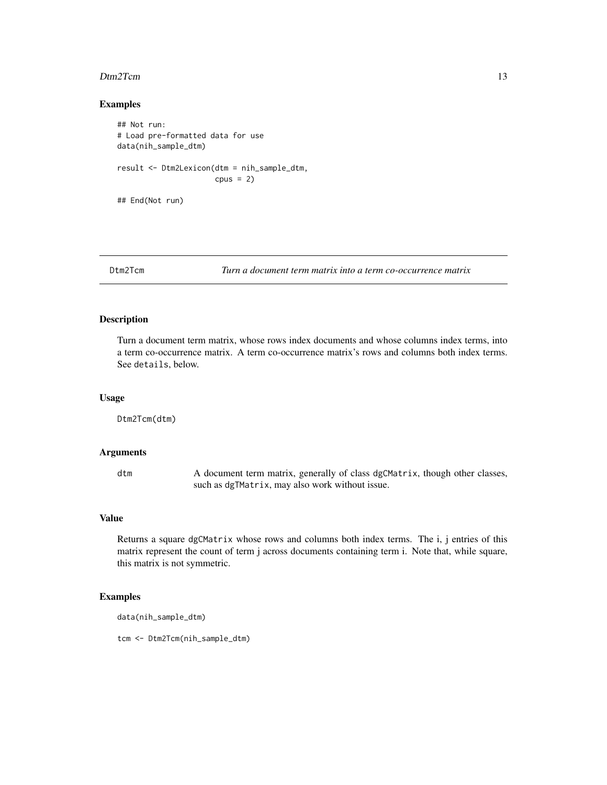#### <span id="page-12-0"></span>Dtm2Tcm 13

#### Examples

```
## Not run:
# Load pre-formatted data for use
data(nih_sample_dtm)
result <- Dtm2Lexicon(dtm = nih_sample_dtm,
                      cpus = 2)## End(Not run)
```
Dtm2Tcm *Turn a document term matrix into a term co-occurrence matrix*

#### Description

Turn a document term matrix, whose rows index documents and whose columns index terms, into a term co-occurrence matrix. A term co-occurrence matrix's rows and columns both index terms. See details, below.

#### Usage

Dtm2Tcm(dtm)

#### Arguments

dtm A document term matrix, generally of class dgCMatrix, though other classes, such as dgTMatrix, may also work without issue.

#### Value

Returns a square dgCMatrix whose rows and columns both index terms. The i, j entries of this matrix represent the count of term j across documents containing term i. Note that, while square, this matrix is not symmetric.

#### Examples

```
data(nih_sample_dtm)
```
tcm <- Dtm2Tcm(nih\_sample\_dtm)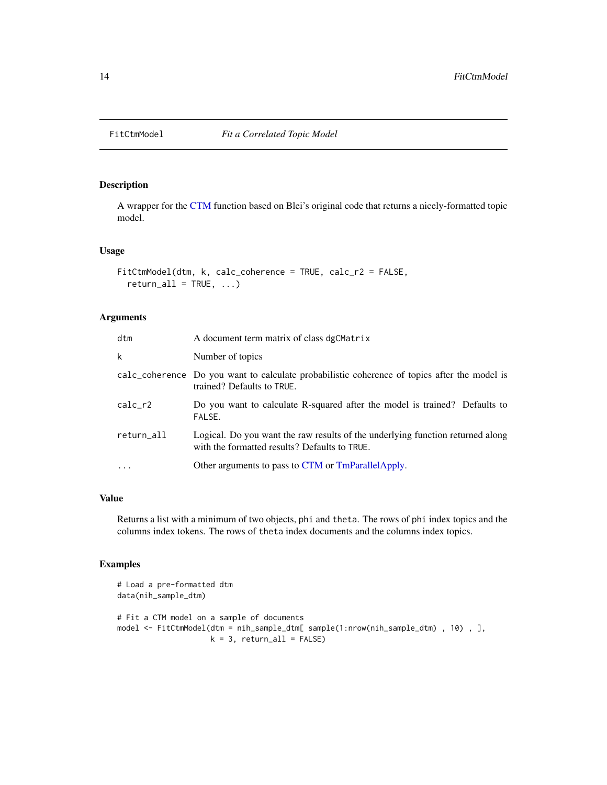<span id="page-13-0"></span>

A wrapper for the [CTM](#page-0-0) function based on Blei's original code that returns a nicely-formatted topic model.

#### Usage

```
FitCtmModel(dtm, k, calc_coherence = TRUE, calc_r2 = FALSE,
  return\_all = TRUE, ...
```
#### Arguments

| dtm        | A document term matrix of class dgCMatrix                                                                                       |
|------------|---------------------------------------------------------------------------------------------------------------------------------|
| k          | Number of topics                                                                                                                |
|            | calc_coherence Do you want to calculate probabilistic coherence of topics after the model is<br>trained? Defaults to TRUE.      |
| $calc_r2$  | Do you want to calculate R-squared after the model is trained? Defaults to<br>FALSE.                                            |
| return_all | Logical. Do you want the raw results of the underlying function returned along<br>with the formatted results? Defaults to TRUE. |
| $\ddots$ . | Other arguments to pass to CTM or TmParallelApply.                                                                              |

#### Value

Returns a list with a minimum of two objects, phi and theta. The rows of phi index topics and the columns index tokens. The rows of theta index documents and the columns index topics.

```
# Load a pre-formatted dtm
data(nih_sample_dtm)
# Fit a CTM model on a sample of documents
model <- FitCtmModel(dtm = nih_sample_dtm[ sample(1:nrow(nih_sample_dtm) , 10) , ],
                    k = 3, return_all = FALSE)
```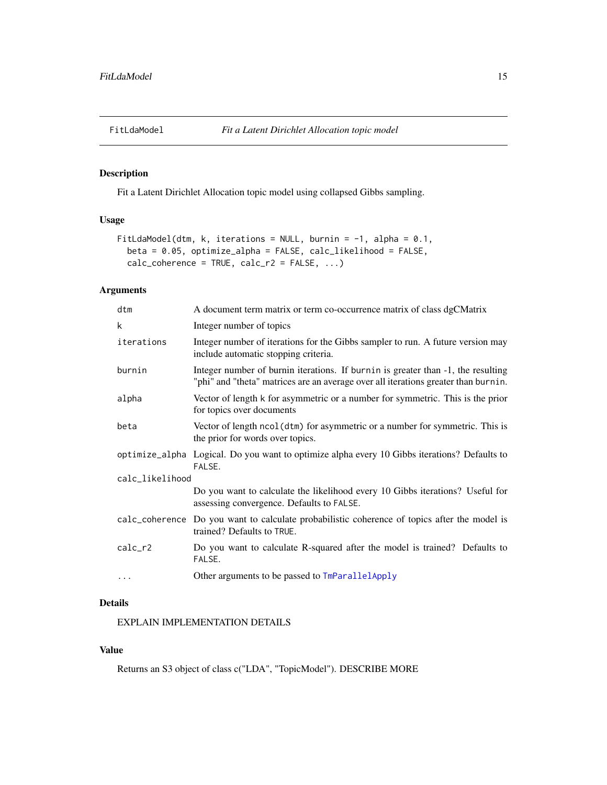<span id="page-14-1"></span><span id="page-14-0"></span>

Fit a Latent Dirichlet Allocation topic model using collapsed Gibbs sampling.

#### Usage

```
FitLdaModel(dtm, k, iterations = NULL, burnin = -1, alpha = 0.1,
 beta = 0.05, optimize_alpha = FALSE, calc_likelihood = FALSE,
  calc\_coherence = TRUE, calc_r2 = FALSE, ...)
```
#### Arguments

| dtm             | A document term matrix or term co-occurrence matrix of class dgCMatrix                                                                                                 |
|-----------------|------------------------------------------------------------------------------------------------------------------------------------------------------------------------|
| k               | Integer number of topics                                                                                                                                               |
| iterations      | Integer number of iterations for the Gibbs sampler to run. A future version may<br>include automatic stopping criteria.                                                |
| burnin          | Integer number of burnin iterations. If burnin is greater than -1, the resulting<br>"phi" and "theta" matrices are an average over all iterations greater than burnin. |
| alpha           | Vector of length k for asymmetric or a number for symmetric. This is the prior<br>for topics over documents                                                            |
| beta            | Vector of length ncol (dtm) for asymmetric or a number for symmetric. This is<br>the prior for words over topics.                                                      |
|                 | optimize_alpha Logical. Do you want to optimize alpha every 10 Gibbs iterations? Defaults to<br>FALSE.                                                                 |
| calc_likelihood |                                                                                                                                                                        |
|                 | Do you want to calculate the likelihood every 10 Gibbs iterations? Useful for<br>assessing convergence. Defaults to FALSE.                                             |
|                 | calc_coherence Do you want to calculate probabilistic coherence of topics after the model is<br>trained? Defaults to TRUE.                                             |
| $calc_r2$       | Do you want to calculate R-squared after the model is trained? Defaults to<br>FALSE.                                                                                   |
| $\cdots$        | Other arguments to be passed to TmParallelApply                                                                                                                        |

#### Details

EXPLAIN IMPLEMENTATION DETAILS

#### Value

Returns an S3 object of class c("LDA", "TopicModel"). DESCRIBE MORE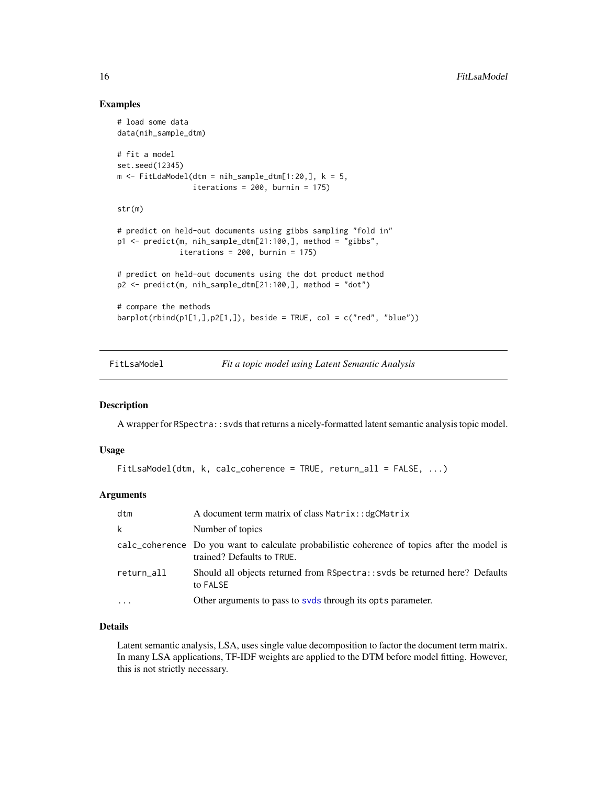#### Examples

```
# load some data
data(nih_sample_dtm)
# fit a model
set.seed(12345)
m \leq FitLdaModel(dtm = nih_sample_dtm[1:20,], k = 5,
                 iterations = 200, burnin = 175)
str(m)
# predict on held-out documents using gibbs sampling "fold in"
p1 <- predict(m, nih_sample_dtm[21:100,], method = "gibbs",
              iterations = 200, burnin = 175)
# predict on held-out documents using the dot product method
p2 <- predict(m, nih_sample_dtm[21:100,], method = "dot")
# compare the methods
barplot(rbind(p1[1,],p2[1,]), beside = TRUE, col = c("red", "blue"))
```
FitLsaModel *Fit a topic model using Latent Semantic Analysis*

#### Description

A wrapper for RSpectra::svds that returns a nicely-formatted latent semantic analysis topic model.

#### Usage

```
FitLsaModel(dtm, k, calc_coherence = TRUE, return_all = FALSE, ...)
```
#### Arguments

| dtm                     | A document term matrix of class Matrix: : dgCMatrix                                                                        |
|-------------------------|----------------------------------------------------------------------------------------------------------------------------|
| k                       | Number of topics                                                                                                           |
|                         | calc_coherence Do you want to calculate probabilistic coherence of topics after the model is<br>trained? Defaults to TRUE. |
| return_all              | Should all objects returned from RSpectra:: svds be returned here? Defaults<br>to FALSE                                    |
| $\cdot$ $\cdot$ $\cdot$ | Other arguments to pass to syds through its opts parameter.                                                                |

#### Details

Latent semantic analysis, LSA, uses single value decomposition to factor the document term matrix. In many LSA applications, TF-IDF weights are applied to the DTM before model fitting. However, this is not strictly necessary.

<span id="page-15-0"></span>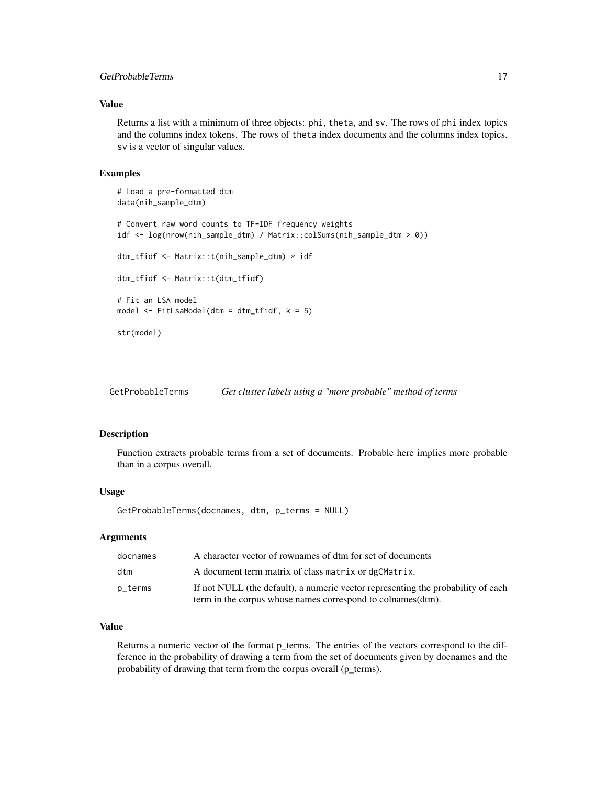#### <span id="page-16-0"></span>GetProbableTerms 17

#### Value

Returns a list with a minimum of three objects: phi, theta, and sv. The rows of phi index topics and the columns index tokens. The rows of theta index documents and the columns index topics. sv is a vector of singular values.

#### Examples

```
# Load a pre-formatted dtm
data(nih_sample_dtm)
# Convert raw word counts to TF-IDF frequency weights
idf <- log(nrow(nih_sample_dtm) / Matrix::colSums(nih_sample_dtm > 0))
dtm_tfidf <- Matrix::t(nih_sample_dtm) * idf
dtm_tfidf <- Matrix::t(dtm_tfidf)
# Fit an LSA model
model <- FitLsaModel(dtm = dtm_tfidf, k = 5)
str(model)
```
<span id="page-16-1"></span>GetProbableTerms *Get cluster labels using a "more probable" method of terms*

#### Description

Function extracts probable terms from a set of documents. Probable here implies more probable than in a corpus overall.

#### Usage

GetProbableTerms(docnames, dtm, p\_terms = NULL)

#### Arguments

| docnames | A character vector of rownames of dtm for set of documents                       |
|----------|----------------------------------------------------------------------------------|
| dtm      | A document term matrix of class matrix or dgCMatrix.                             |
| p_terms  | If not NULL (the default), a numeric vector representing the probability of each |
|          | term in the corpus whose names correspond to colnames (dtm).                     |

#### Value

Returns a numeric vector of the format p\_terms. The entries of the vectors correspond to the difference in the probability of drawing a term from the set of documents given by docnames and the probability of drawing that term from the corpus overall (p\_terms).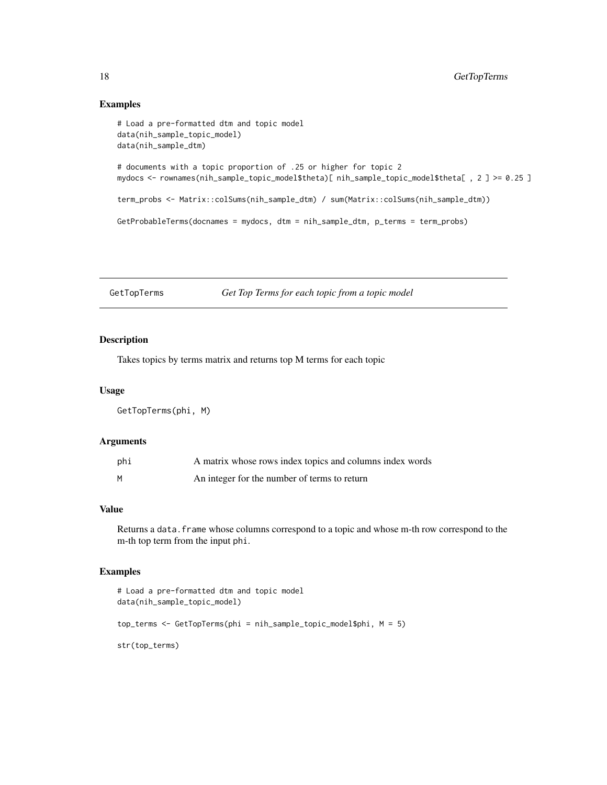#### <span id="page-17-0"></span>Examples

```
# Load a pre-formatted dtm and topic model
data(nih_sample_topic_model)
data(nih_sample_dtm)
# documents with a topic proportion of .25 or higher for topic 2
mydocs <- rownames(nih_sample_topic_model$theta)[ nih_sample_topic_model$theta[ , 2 ] >= 0.25 ]
term_probs <- Matrix::colSums(nih_sample_dtm) / sum(Matrix::colSums(nih_sample_dtm))
GetProbableTerms(docnames = mydocs, dtm = nih_sample_dtm, p_terms = term_probs)
```
GetTopTerms *Get Top Terms for each topic from a topic model*

#### Description

Takes topics by terms matrix and returns top M terms for each topic

#### Usage

GetTopTerms(phi, M)

#### Arguments

| phi | A matrix whose rows index topics and columns index words |
|-----|----------------------------------------------------------|
| M   | An integer for the number of terms to return             |

### Value

Returns a data. frame whose columns correspond to a topic and whose m-th row correspond to the m-th top term from the input phi.

```
# Load a pre-formatted dtm and topic model
data(nih_sample_topic_model)
top_terms <- GetTopTerms(phi = nih_sample_topic_model$phi, M = 5)
str(top_terms)
```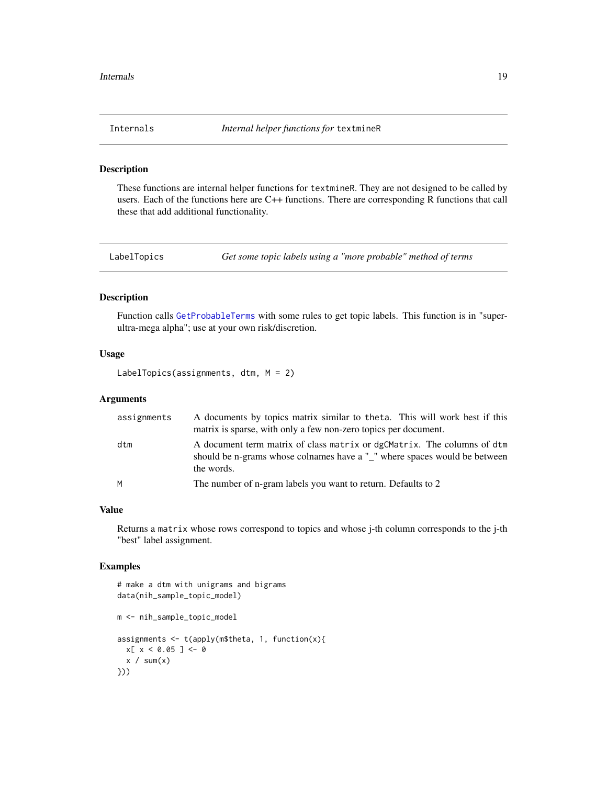<span id="page-18-0"></span>

These functions are internal helper functions for textmineR. They are not designed to be called by users. Each of the functions here are C++ functions. There are corresponding R functions that call these that add additional functionality.

<span id="page-18-1"></span>LabelTopics *Get some topic labels using a "more probable" method of terms*

#### Description

Function calls [GetProbableTerms](#page-16-1) with some rules to get topic labels. This function is in "superultra-mega alpha"; use at your own risk/discretion.

#### Usage

```
LabelTopics(assignments, dtm, M = 2)
```
#### Arguments

| assignments | A documents by topics matrix similar to theta. This will work best if this<br>matrix is sparse, with only a few non-zero topics per document.                      |
|-------------|--------------------------------------------------------------------------------------------------------------------------------------------------------------------|
| dtm         | A document term matrix of class matrix or dgCMatrix. The columns of dtm<br>should be n-grams whose colnames have a "_" where spaces would be between<br>the words. |
| M           | The number of n-gram labels you want to return. Defaults to 2                                                                                                      |

#### Value

Returns a matrix whose rows correspond to topics and whose j-th column corresponds to the j-th "best" label assignment.

```
# make a dtm with unigrams and bigrams
data(nih_sample_topic_model)
m <- nih_sample_topic_model
assignments \leq t(apply(m$theta, 1, function(x){
 x[ x < 0.05 ] <- 0
 x / sum(x)}))
```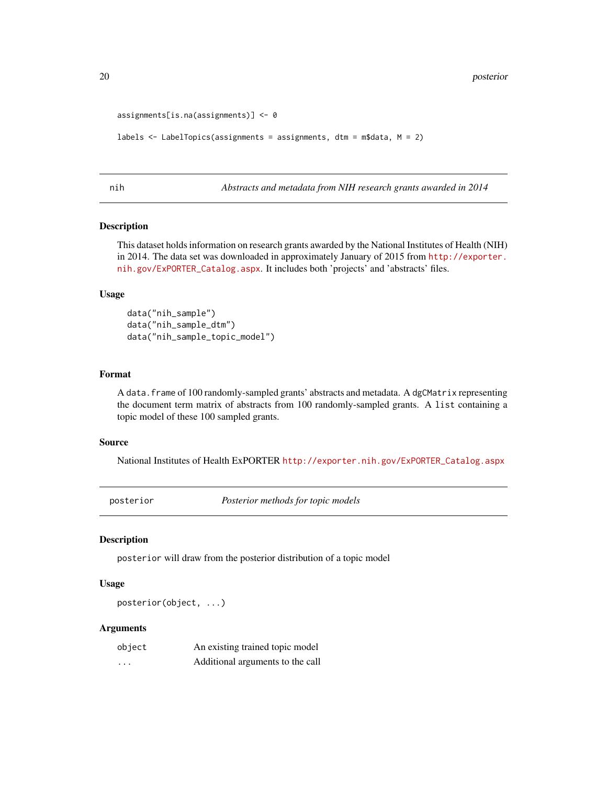```
assignments[is.na(assignments)] <- 0
```

```
labels <- LabelTopics(assignments = assignments, dtm = m$data, M = 2)
```
nih *Abstracts and metadata from NIH research grants awarded in 2014*

#### Description

This dataset holds information on research grants awarded by the National Institutes of Health (NIH) in 2014. The data set was downloaded in approximately January of 2015 from [http://exporter.](http://exporter.nih.gov/ExPORTER_Catalog.aspx) [nih.gov/ExPORTER\\_Catalog.aspx](http://exporter.nih.gov/ExPORTER_Catalog.aspx). It includes both 'projects' and 'abstracts' files.

#### Usage

data("nih\_sample") data("nih\_sample\_dtm") data("nih\_sample\_topic\_model")

#### Format

A data.frame of 100 randomly-sampled grants' abstracts and metadata. A dgCMatrix representing the document term matrix of abstracts from 100 randomly-sampled grants. A list containing a topic model of these 100 sampled grants.

#### Source

National Institutes of Health ExPORTER [http://exporter.nih.gov/ExPORTER\\_Catalog.aspx](http://exporter.nih.gov/ExPORTER_Catalog.aspx)

posterior *Posterior methods for topic models*

#### Description

posterior will draw from the posterior distribution of a topic model

#### Usage

posterior(object, ...)

#### Arguments

| object | An existing trained topic model  |
|--------|----------------------------------|
| .      | Additional arguments to the call |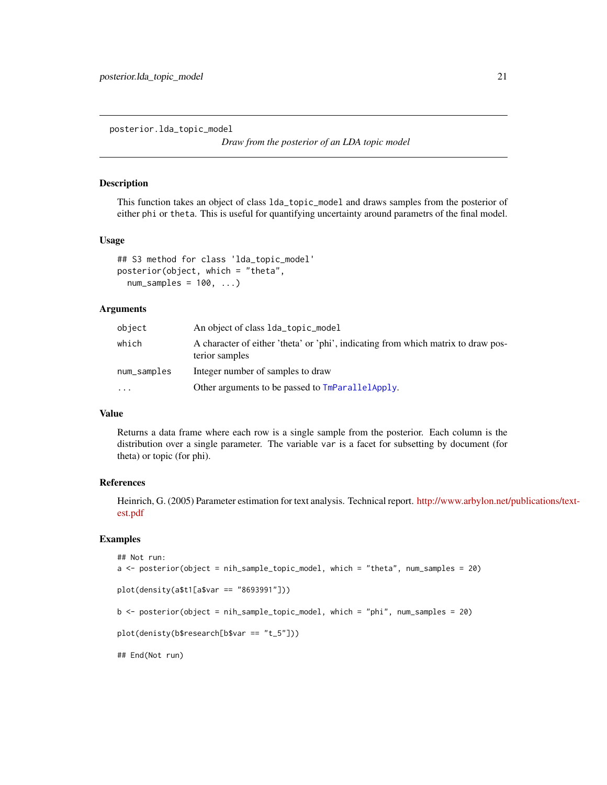<span id="page-20-0"></span>posterior.lda\_topic\_model

*Draw from the posterior of an LDA topic model*

#### Description

This function takes an object of class lda\_topic\_model and draws samples from the posterior of either phi or theta. This is useful for quantifying uncertainty around parametrs of the final model.

#### Usage

```
## S3 method for class 'lda_topic_model'
posterior(object, which = "theta",
 num\_samples = 100, ...
```
#### **Arguments**

| object      | An object of class 1da_topic_mode1                                                                  |
|-------------|-----------------------------------------------------------------------------------------------------|
| which       | A character of either 'theta' or 'phi', indicating from which matrix to draw pos-<br>terior samples |
| num_samples | Integer number of samples to draw                                                                   |
| $\ddotsc$   | Other arguments to be passed to $TmParallelApply$ .                                                 |

#### Value

Returns a data frame where each row is a single sample from the posterior. Each column is the distribution over a single parameter. The variable var is a facet for subsetting by document (for theta) or topic (for phi).

#### References

Heinrich, G. (2005) Parameter estimation for text analysis. Technical report. [http://www.arbylon.net/](http://www.arbylon.net/publications/text-est.pdf)publications/text[est.pdf](http://www.arbylon.net/publications/text-est.pdf)

```
## Not run:
a <- posterior(object = nih_sample_topic_model, which = "theta", num_samples = 20)
plot(density(a$t1[a$var == "8693991"]))
b <- posterior(object = nih_sample_topic_model, which = "phi", num_samples = 20)
plot(denisty(b$research[b$var == "t_5"]))
## End(Not run)
```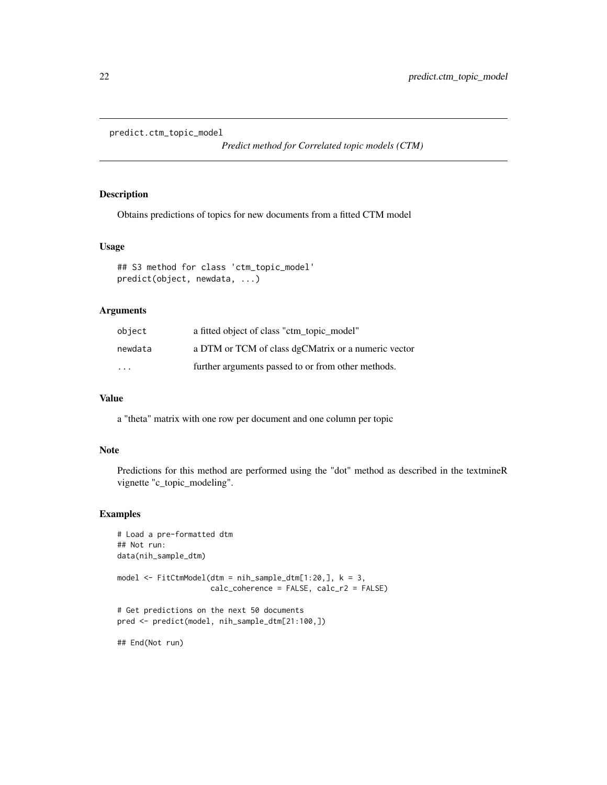```
predict.ctm_topic_model
```
*Predict method for Correlated topic models (CTM)*

#### Description

Obtains predictions of topics for new documents from a fitted CTM model

#### Usage

```
## S3 method for class 'ctm_topic_model'
predict(object, newdata, ...)
```
#### Arguments

| object                  | a fitted object of class "ctm_topic_model"          |
|-------------------------|-----------------------------------------------------|
| newdata                 | a DTM or TCM of class dgCMatrix or a numeric vector |
| $\cdot$ $\cdot$ $\cdot$ | further arguments passed to or from other methods.  |

#### Value

a "theta" matrix with one row per document and one column per topic

#### Note

Predictions for this method are performed using the "dot" method as described in the textmineR vignette "c\_topic\_modeling".

#### Examples

```
# Load a pre-formatted dtm
## Not run:
data(nih_sample_dtm)
model \le FitCtmModel(dtm = nih_sample_dtm[1:20,], k = 3,
                     calc_coherence = FALSE, calc_r2 = FALSE)
# Get predictions on the next 50 documents
pred <- predict(model, nih_sample_dtm[21:100,])
```
## End(Not run)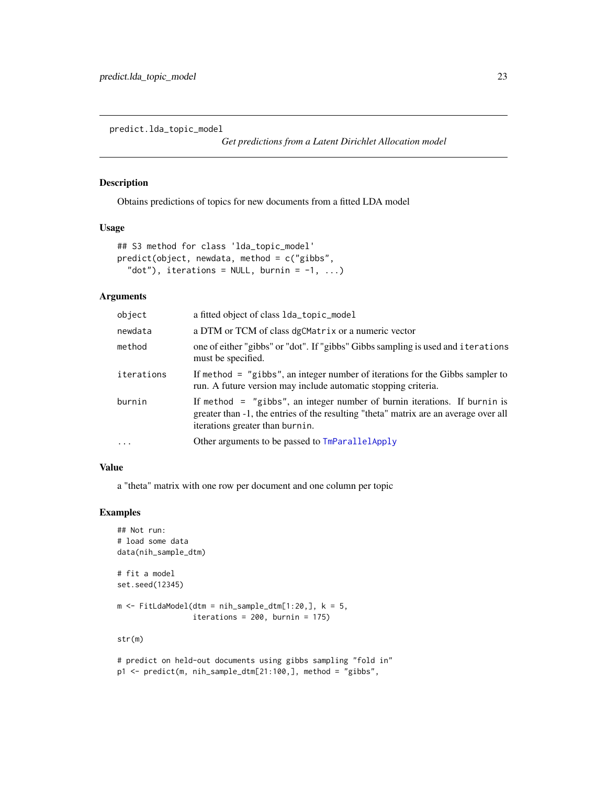<span id="page-22-0"></span>predict.lda\_topic\_model

*Get predictions from a Latent Dirichlet Allocation model*

#### Description

Obtains predictions of topics for new documents from a fitted LDA model

#### Usage

```
## S3 method for class 'lda_topic_model'
predict(object, newdata, method = c("gibbs",
  "dot"), iterations = NULL, burnin = -1, ...)
```
#### Arguments

| object     | a fitted object of class 1da_topic_mode1                                                                                                                                                               |
|------------|--------------------------------------------------------------------------------------------------------------------------------------------------------------------------------------------------------|
| newdata    | a DTM or TCM of class dgCMatrix or a numeric vector                                                                                                                                                    |
| method     | one of either "gibbs" or "dot". If "gibbs" Gibbs sampling is used and iterations<br>must be specified.                                                                                                 |
| iterations | If method $=$ "gibbs", an integer number of iterations for the Gibbs sampler to<br>run. A future version may include automatic stopping criteria.                                                      |
| burnin     | If method $=$ "gibbs", an integer number of burnin iterations. If burnin is<br>greater than -1, the entries of the resulting "theta" matrix are an average over all<br>iterations greater than burnin. |
| $\cdots$   | Other arguments to be passed to TmParallelApply                                                                                                                                                        |
|            |                                                                                                                                                                                                        |

#### Value

a "theta" matrix with one row per document and one column per topic

```
## Not run:
# load some data
data(nih_sample_dtm)
# fit a model
set.seed(12345)
m \leq FitLdaModel(dtm = nih_sample_dtm[1:20,], k = 5,
                 iterations = 200, burnin = 175)
str(m)
# predict on held-out documents using gibbs sampling "fold in"
```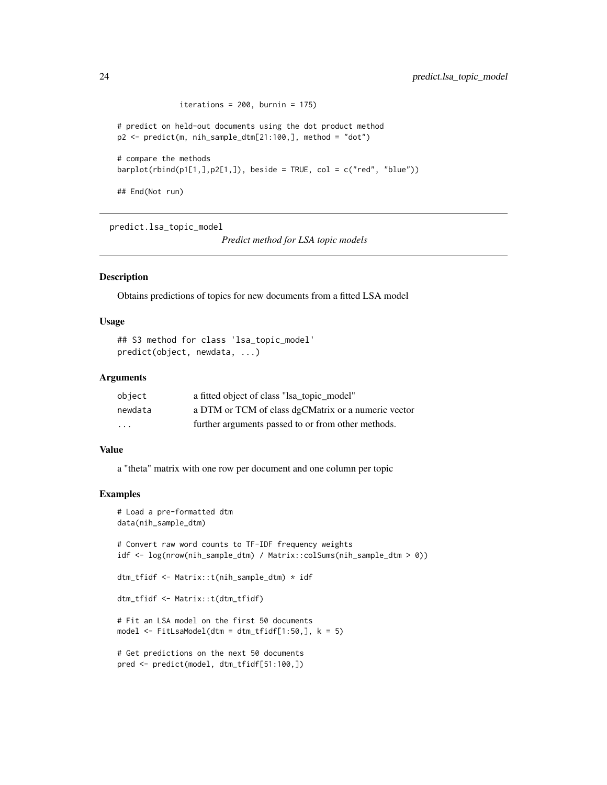```
iterations = 200, burnin = 175)
# predict on held-out documents using the dot product method
p2 <- predict(m, nih_sample_dtm[21:100,], method = "dot")
# compare the methods
barplot(rbind(p1[1,],p2[1,]), beside = TRUE, col = c("red", "blue"))## End(Not run)
```
predict.lsa\_topic\_model

*Predict method for LSA topic models*

#### Description

Obtains predictions of topics for new documents from a fitted LSA model

#### Usage

```
## S3 method for class 'lsa_topic_model'
predict(object, newdata, ...)
```
#### Arguments

| object  | a fitted object of class "lsa_topic_model"          |
|---------|-----------------------------------------------------|
| newdata | a DTM or TCM of class dgCMatrix or a numeric vector |
| .       | further arguments passed to or from other methods.  |

#### Value

a "theta" matrix with one row per document and one column per topic

```
# Load a pre-formatted dtm
data(nih_sample_dtm)
# Convert raw word counts to TF-IDF frequency weights
idf <- log(nrow(nih_sample_dtm) / Matrix::colSums(nih_sample_dtm > 0))
dtm_tfidf <- Matrix::t(nih_sample_dtm) * idf
dtm_tfidf <- Matrix::t(dtm_tfidf)
# Fit an LSA model on the first 50 documents
model <- FitLsaModel(dtm = dtm_tfidf[1:50,], k = 5)
# Get predictions on the next 50 documents
pred <- predict(model, dtm_tfidf[51:100,])
```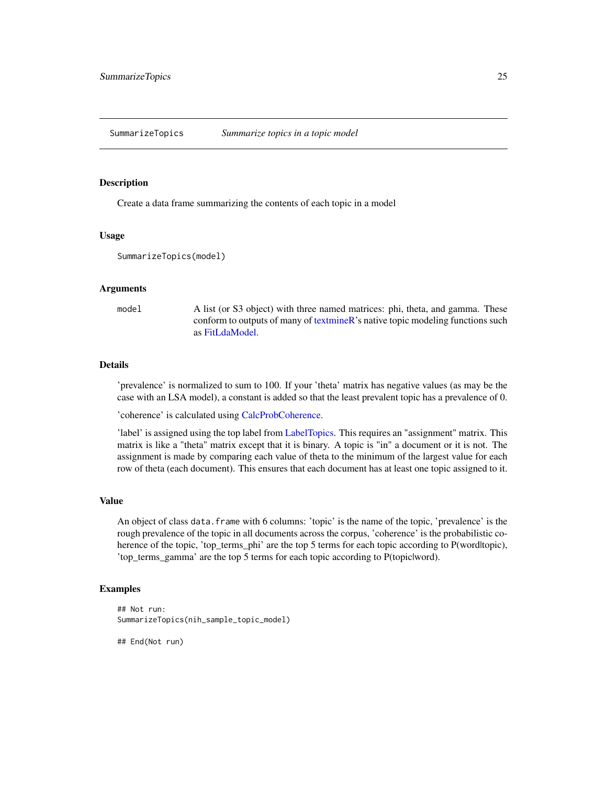<span id="page-24-0"></span>SummarizeTopics *Summarize topics in a topic model*

#### Description

Create a data frame summarizing the contents of each topic in a model

#### Usage

```
SummarizeTopics(model)
```
#### Arguments

model A list (or S3 object) with three named matrices: phi, theta, and gamma. These conform to outputs of many of [textmineR'](#page-25-1)s native topic modeling functions such as [FitLdaModel.](#page-14-1)

#### Details

'prevalence' is normalized to sum to 100. If your 'theta' matrix has negative values (as may be the case with an LSA model), a constant is added so that the least prevalent topic has a prevalence of 0.

'coherence' is calculated using [CalcProbCoherence.](#page-5-1)

'label' is assigned using the top label from [LabelTopics.](#page-18-1) This requires an "assignment" matrix. This matrix is like a "theta" matrix except that it is binary. A topic is "in" a document or it is not. The assignment is made by comparing each value of theta to the minimum of the largest value for each row of theta (each document). This ensures that each document has at least one topic assigned to it.

#### Value

An object of class data.frame with 6 columns: 'topic' is the name of the topic, 'prevalence' is the rough prevalence of the topic in all documents across the corpus, 'coherence' is the probabilistic coherence of the topic, 'top\_terms\_phi' are the top 5 terms for each topic according to P(word|topic), 'top\_terms\_gamma' are the top 5 terms for each topic according to P(topic|word).

#### Examples

```
## Not run:
SummarizeTopics(nih_sample_topic_model)
```
## End(Not run)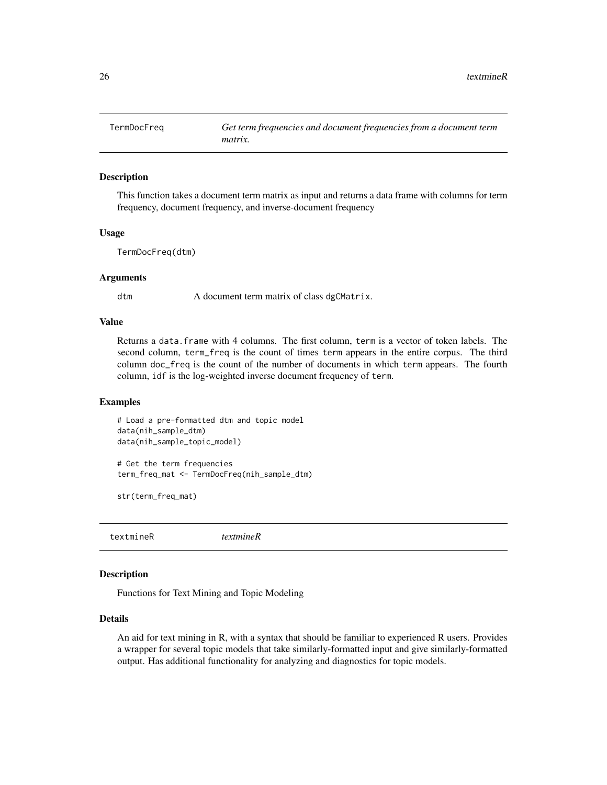<span id="page-25-0"></span>

This function takes a document term matrix as input and returns a data frame with columns for term frequency, document frequency, and inverse-document frequency

#### Usage

TermDocFreq(dtm)

#### Arguments

dtm A document term matrix of class dgCMatrix.

#### Value

Returns a data.frame with 4 columns. The first column, term is a vector of token labels. The second column, term\_freq is the count of times term appears in the entire corpus. The third column doc\_freq is the count of the number of documents in which term appears. The fourth column, idf is the log-weighted inverse document frequency of term.

#### Examples

```
# Load a pre-formatted dtm and topic model
data(nih_sample_dtm)
data(nih_sample_topic_model)
```

```
# Get the term frequencies
term_freq_mat <- TermDocFreq(nih_sample_dtm)
```
str(term\_freq\_mat)

<span id="page-25-1"></span>textmineR *textmineR*

#### Description

Functions for Text Mining and Topic Modeling

#### Details

An aid for text mining in R, with a syntax that should be familiar to experienced R users. Provides a wrapper for several topic models that take similarly-formatted input and give similarly-formatted output. Has additional functionality for analyzing and diagnostics for topic models.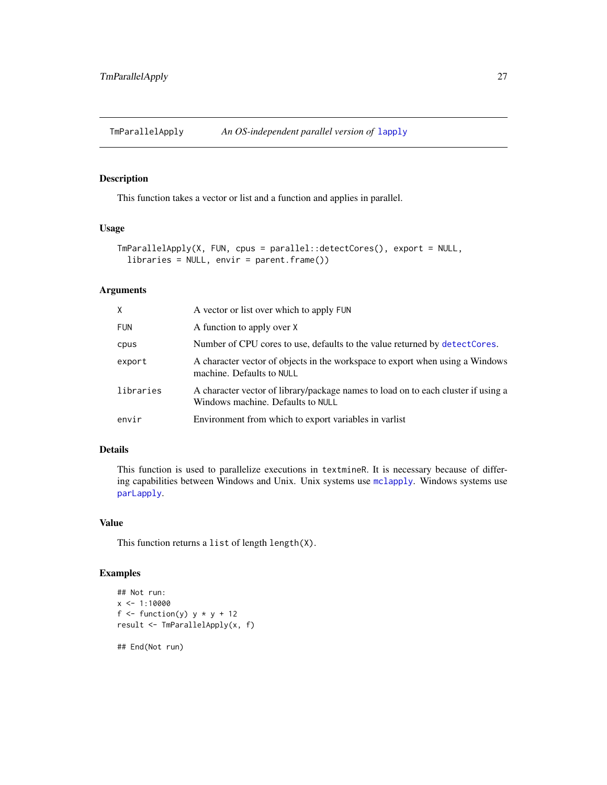<span id="page-26-1"></span><span id="page-26-0"></span>

This function takes a vector or list and a function and applies in parallel.

#### Usage

```
TmParallelApply(X, FUN, cpus = parallel::detectCores(), export = NULL,
  libraries = NULL, envir = parent.frame())
```
#### Arguments

| X.         | A vector or list over which to apply FUN                                                                               |
|------------|------------------------------------------------------------------------------------------------------------------------|
| <b>FUN</b> | A function to apply over X                                                                                             |
| cpus       | Number of CPU cores to use, defaults to the value returned by detect Cores.                                            |
| export     | A character vector of objects in the workspace to export when using a Windows<br>machine. Defaults to NULL             |
| libraries  | A character vector of library/package names to load on to each cluster if using a<br>Windows machine. Defaults to NULL |
| envir      | Environment from which to export variables in variest                                                                  |

### Details

This function is used to parallelize executions in textmineR. It is necessary because of differing capabilities between Windows and Unix. Unix systems use [mclapply](#page-0-0). Windows systems use [parLapply](#page-0-0).

### Value

This function returns a list of length length(X).

```
## Not run:
x \le -1:10000f \le function(y) y * y + 12result <- TmParallelApply(x, f)
```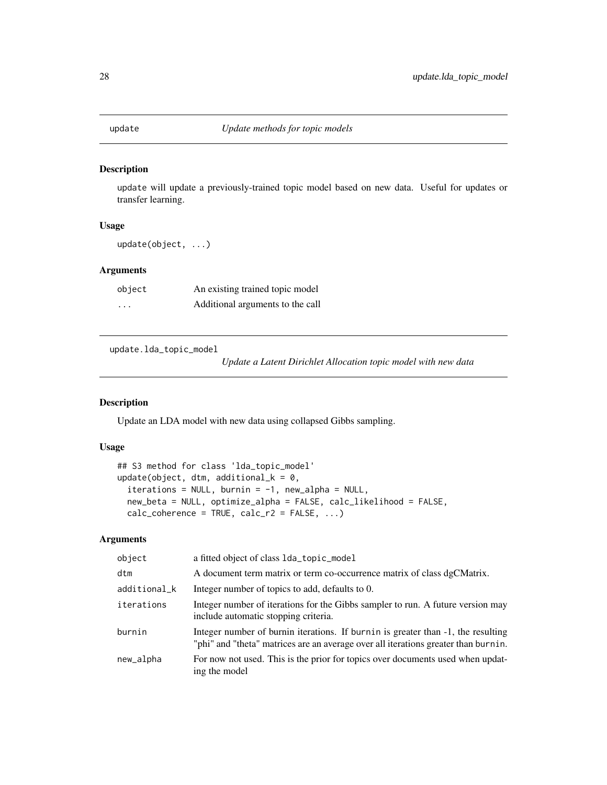<span id="page-27-0"></span>

update will update a previously-trained topic model based on new data. Useful for updates or transfer learning.

#### Usage

update(object, ...)

#### Arguments

| object   | An existing trained topic model  |
|----------|----------------------------------|
| $\cdots$ | Additional arguments to the call |

update.lda\_topic\_model

*Update a Latent Dirichlet Allocation topic model with new data*

#### Description

Update an LDA model with new data using collapsed Gibbs sampling.

#### Usage

## S3 method for class 'lda\_topic\_model' update(object, dtm, additional\_k =  $0$ ,  $iterations = NULL,$  burnin =  $-1$ , new\_alpha = NULL, new\_beta = NULL, optimize\_alpha = FALSE, calc\_likelihood = FALSE,  $calc\_coherence = TRUE, calc_r2 = FALSE, ...$ 

### Arguments

| object       | a fitted object of class 1da_topic_mode1                                                                                                                               |
|--------------|------------------------------------------------------------------------------------------------------------------------------------------------------------------------|
| dtm          | A document term matrix or term co-occurrence matrix of class dgCMatrix.                                                                                                |
| additional_k | Integer number of topics to add, defaults to 0.                                                                                                                        |
| iterations   | Integer number of iterations for the Gibbs sampler to run. A future version may<br>include automatic stopping criteria.                                                |
| burnin       | Integer number of burnin iterations. If burnin is greater than -1, the resulting<br>"phi" and "theta" matrices are an average over all iterations greater than burnin. |
| new_alpha    | For now not used. This is the prior for topics over documents used when updat-<br>ing the model                                                                        |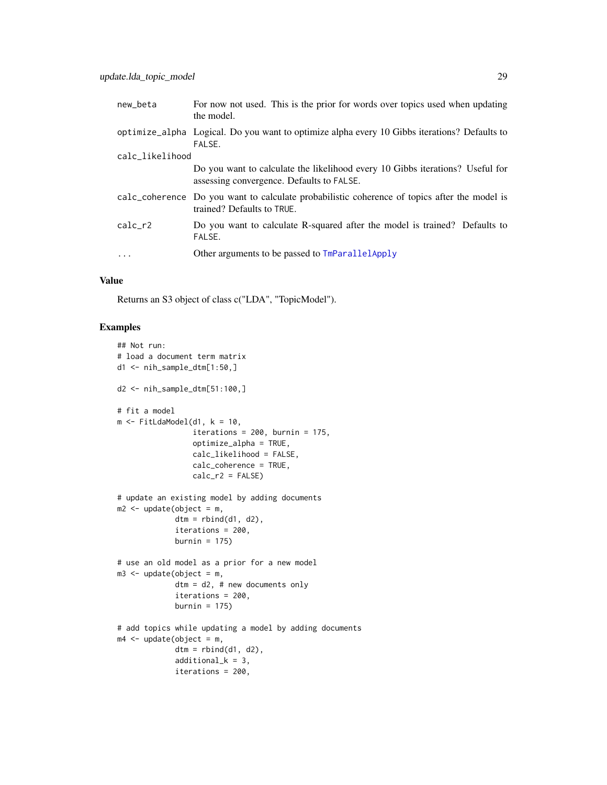<span id="page-28-0"></span>

| new_beta        | For now not used. This is the prior for words over topics used when updating<br>the model.                                 |
|-----------------|----------------------------------------------------------------------------------------------------------------------------|
|                 | optimize_alpha Logical. Do you want to optimize alpha every 10 Gibbs iterations? Defaults to<br>FALSE.                     |
| calc_likelihood |                                                                                                                            |
|                 | Do you want to calculate the likelihood every 10 Gibbs iterations? Useful for<br>assessing convergence. Defaults to FALSE. |
|                 | calc_coherence Do you want to calculate probabilistic coherence of topics after the model is<br>trained? Defaults to TRUE. |
| $calc_r2$       | Do you want to calculate R-squared after the model is trained? Defaults to<br>FALSE.                                       |
| .               | Other arguments to be passed to TmParallelApply                                                                            |
|                 |                                                                                                                            |

#### Value

Returns an S3 object of class c("LDA", "TopicModel").

```
## Not run:
# load a document term matrix
d1 <- nih_sample_dtm[1:50,]
d2 <- nih_sample_dtm[51:100,]
# fit a model
m \leq FitLdaModel(d1, k = 10,
                 iterations = 200, burnin = 175,
                 optimize_alpha = TRUE,
                 calc_likelihood = FALSE,
                 calc_coherence = TRUE,
                 calc_r2 = FALSE# update an existing model by adding documents
m2 < - update(object = m,
             dtm = rbind(d1, d2),
             iterations = 200,
             burnin = 175)
# use an old model as a prior for a new model
m3 <- update(object = m,
             dtm = d2, # new documents only
             iterations = 200,
             burnin = 175)
# add topics while updating a model by adding documents
m4 < - update(object = m,
             dtm = rbind(d1, d2),
             additional_k = 3,
             iterations = 200,
```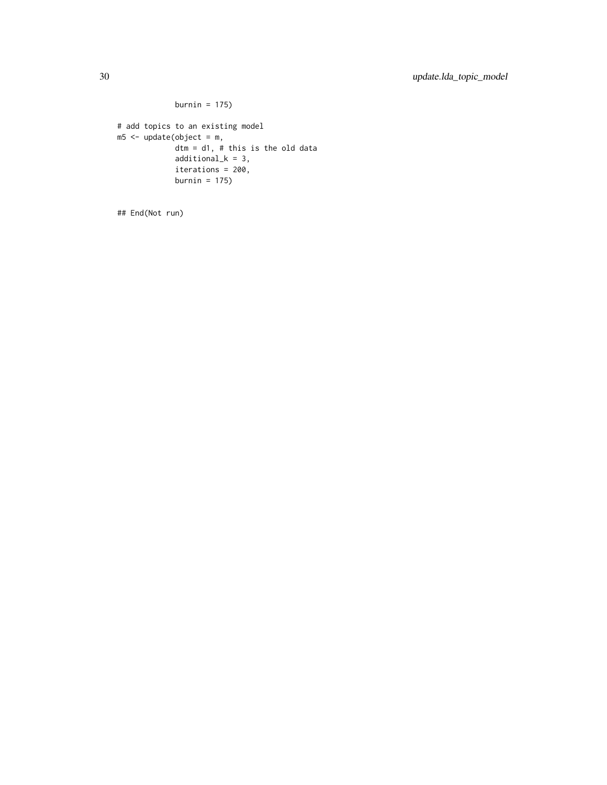```
burnin = 175)
# add topics to an existing model
m5 <- update(object = m,
            dtm = d1, # this is the old data
             additional_k = 3,
            iterations = 200,
             burnin = 175)
```
## End(Not run)